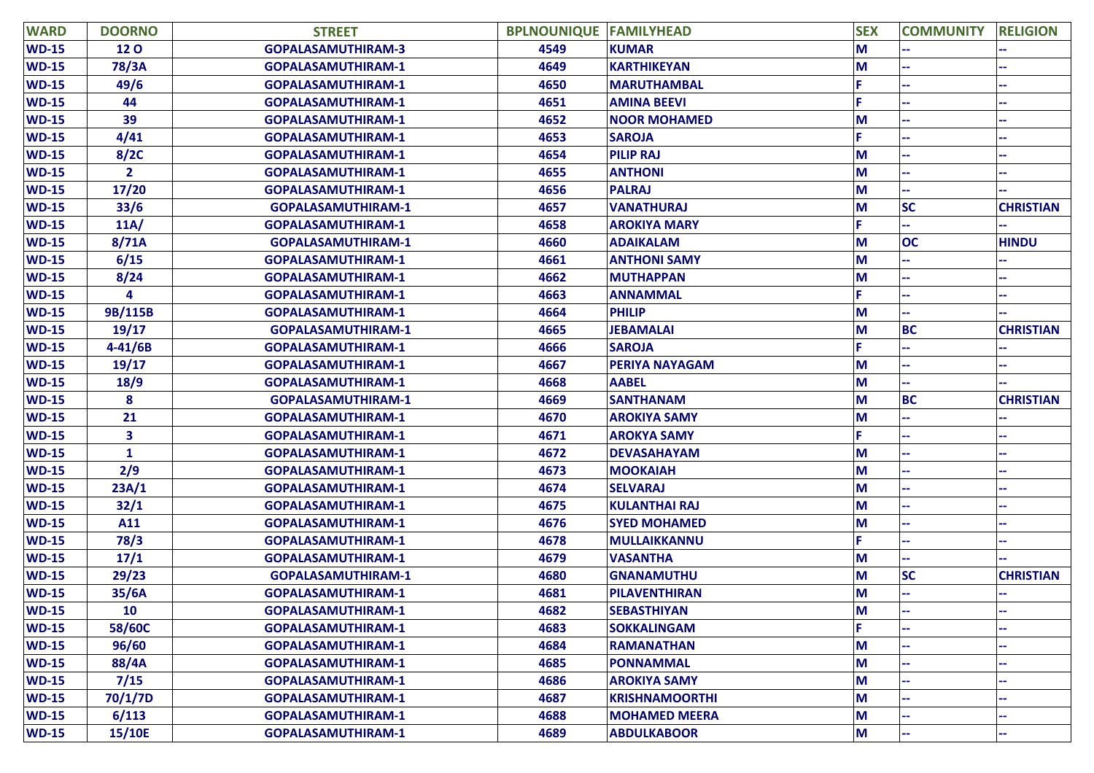| <b>WARD</b>  | <b>DOORNO</b>  | <b>STREET</b>             | <b>BPLNOUNIQUE FAMILYHEAD</b> |                       | <b>SEX</b> | <b>COMMUNITY</b> | <b>RELIGION</b>  |
|--------------|----------------|---------------------------|-------------------------------|-----------------------|------------|------------------|------------------|
| <b>WD-15</b> | <b>120</b>     | <b>GOPALASAMUTHIRAM-3</b> | 4549                          | <b>KUMAR</b>          | M          |                  |                  |
| <b>WD-15</b> | 78/3A          | <b>GOPALASAMUTHIRAM-1</b> | 4649                          | <b>KARTHIKEYAN</b>    | M          |                  |                  |
| <b>WD-15</b> | 49/6           | <b>GOPALASAMUTHIRAM-1</b> | 4650                          | <b>MARUTHAMBAL</b>    |            |                  |                  |
| <b>WD-15</b> | 44             | <b>GOPALASAMUTHIRAM-1</b> | 4651                          | <b>AMINA BEEVI</b>    | F.         |                  |                  |
| <b>WD-15</b> | 39             | <b>GOPALASAMUTHIRAM-1</b> | 4652                          | <b>NOOR MOHAMED</b>   | M          |                  |                  |
| <b>WD-15</b> | 4/41           | <b>GOPALASAMUTHIRAM-1</b> | 4653                          | <b>SAROJA</b>         | F.         |                  |                  |
| <b>WD-15</b> | 8/2C           | <b>GOPALASAMUTHIRAM-1</b> | 4654                          | <b>PILIP RAJ</b>      | M          |                  |                  |
| <b>WD-15</b> | $\overline{2}$ | <b>GOPALASAMUTHIRAM-1</b> | 4655                          | <b>ANTHONI</b>        | M          |                  |                  |
| <b>WD-15</b> | 17/20          | <b>GOPALASAMUTHIRAM-1</b> | 4656                          | <b>PALRAJ</b>         | M          |                  |                  |
| <b>WD-15</b> | 33/6           | <b>GOPALASAMUTHIRAM-1</b> | 4657                          | <b>VANATHURAJ</b>     | M          | <b>SC</b>        | <b>CHRISTIAN</b> |
| <b>WD-15</b> | 11A/           | <b>GOPALASAMUTHIRAM-1</b> | 4658                          | <b>AROKIYA MARY</b>   |            |                  |                  |
| <b>WD-15</b> | 8/71A          | <b>GOPALASAMUTHIRAM-1</b> | 4660                          | <b>ADAIKALAM</b>      | M          | <b>OC</b>        | <b>HINDU</b>     |
| <b>WD-15</b> | 6/15           | <b>GOPALASAMUTHIRAM-1</b> | 4661                          | <b>ANTHONI SAMY</b>   | M          |                  |                  |
| <b>WD-15</b> | 8/24           | <b>GOPALASAMUTHIRAM-1</b> | 4662                          | <b>MUTHAPPAN</b>      | M          |                  |                  |
| <b>WD-15</b> | 4              | <b>GOPALASAMUTHIRAM-1</b> | 4663                          | <b>ANNAMMAL</b>       |            |                  |                  |
| <b>WD-15</b> | 9B/115B        | <b>GOPALASAMUTHIRAM-1</b> | 4664                          | <b>PHILIP</b>         | M          |                  |                  |
| <b>WD-15</b> | 19/17          | <b>GOPALASAMUTHIRAM-1</b> | 4665                          | <b>JEBAMALAI</b>      | M          | <b>BC</b>        | <b>CHRISTIAN</b> |
| <b>WD-15</b> | $4 - 41/6B$    | <b>GOPALASAMUTHIRAM-1</b> | 4666                          | <b>SAROJA</b>         |            |                  |                  |
| <b>WD-15</b> | 19/17          | <b>GOPALASAMUTHIRAM-1</b> | 4667                          | <b>PERIYA NAYAGAM</b> | M          |                  |                  |
| <b>WD-15</b> | 18/9           | <b>GOPALASAMUTHIRAM-1</b> | 4668                          | <b>AABEL</b>          | M          |                  |                  |
| <b>WD-15</b> | 8              | <b>GOPALASAMUTHIRAM-1</b> | 4669                          | <b>SANTHANAM</b>      | M          | <b>BC</b>        | <b>CHRISTIAN</b> |
| <b>WD-15</b> | 21             | <b>GOPALASAMUTHIRAM-1</b> | 4670                          | <b>AROKIYA SAMY</b>   | M          |                  |                  |
| <b>WD-15</b> | 3              | <b>GOPALASAMUTHIRAM-1</b> | 4671                          | <b>AROKYA SAMY</b>    |            |                  |                  |
| <b>WD-15</b> | $\mathbf{1}$   | <b>GOPALASAMUTHIRAM-1</b> | 4672                          | <b>DEVASAHAYAM</b>    | M          |                  |                  |
| <b>WD-15</b> | 2/9            | <b>GOPALASAMUTHIRAM-1</b> | 4673                          | <b>MOOKAIAH</b>       | M          |                  |                  |
| <b>WD-15</b> | 23A/1          | <b>GOPALASAMUTHIRAM-1</b> | 4674                          | <b>SELVARAJ</b>       | M          |                  |                  |
| <b>WD-15</b> | 32/1           | <b>GOPALASAMUTHIRAM-1</b> | 4675                          | <b>KULANTHAI RAJ</b>  | M          |                  |                  |
| <b>WD-15</b> | A11            | <b>GOPALASAMUTHIRAM-1</b> | 4676                          | <b>SYED MOHAMED</b>   | M          |                  |                  |
| $WD-15$      | 78/3           | <b>GOPALASAMUTHIRAM-1</b> | 4678                          | <b>MULLAIKKANNU</b>   | F.         |                  |                  |
| <b>WD-15</b> | 17/1           | <b>GOPALASAMUTHIRAM-1</b> | 4679                          | <b>VASANTHA</b>       | M          |                  |                  |
| <b>WD-15</b> | 29/23          | <b>GOPALASAMUTHIRAM-1</b> | 4680                          | <b>GNANAMUTHU</b>     | M          | <b>SC</b>        | <b>CHRISTIAN</b> |
| <b>WD-15</b> | 35/6A          | <b>GOPALASAMUTHIRAM-1</b> | 4681                          | <b>PILAVENTHIRAN</b>  | M          |                  |                  |
| <b>WD-15</b> | 10             | <b>GOPALASAMUTHIRAM-1</b> | 4682                          | <b>SEBASTHIYAN</b>    | M          |                  |                  |
| $WD-15$      | 58/60C         | <b>GOPALASAMUTHIRAM-1</b> | 4683                          | <b>SOKKALINGAM</b>    | F.         |                  |                  |
| $WD-15$      | 96/60          | <b>GOPALASAMUTHIRAM-1</b> | 4684                          | <b>RAMANATHAN</b>     | M          |                  |                  |
| $WD-15$      | 88/4A          | <b>GOPALASAMUTHIRAM-1</b> | 4685                          | <b>PONNAMMAL</b>      | M          |                  |                  |
| $WD-15$      | 7/15           | <b>GOPALASAMUTHIRAM-1</b> | 4686                          | <b>AROKIYA SAMY</b>   | M          |                  |                  |
| $WD-15$      | 70/1/7D        | <b>GOPALASAMUTHIRAM-1</b> | 4687                          | <b>KRISHNAMOORTHI</b> | M          |                  |                  |
| $WD-15$      | 6/113          | <b>GOPALASAMUTHIRAM-1</b> | 4688                          | <b>MOHAMED MEERA</b>  | M          |                  |                  |
| <b>WD-15</b> | 15/10E         | GOPALASAMUTHIRAM-1        | 4689                          | <b>ABDULKABOOR</b>    | M          |                  |                  |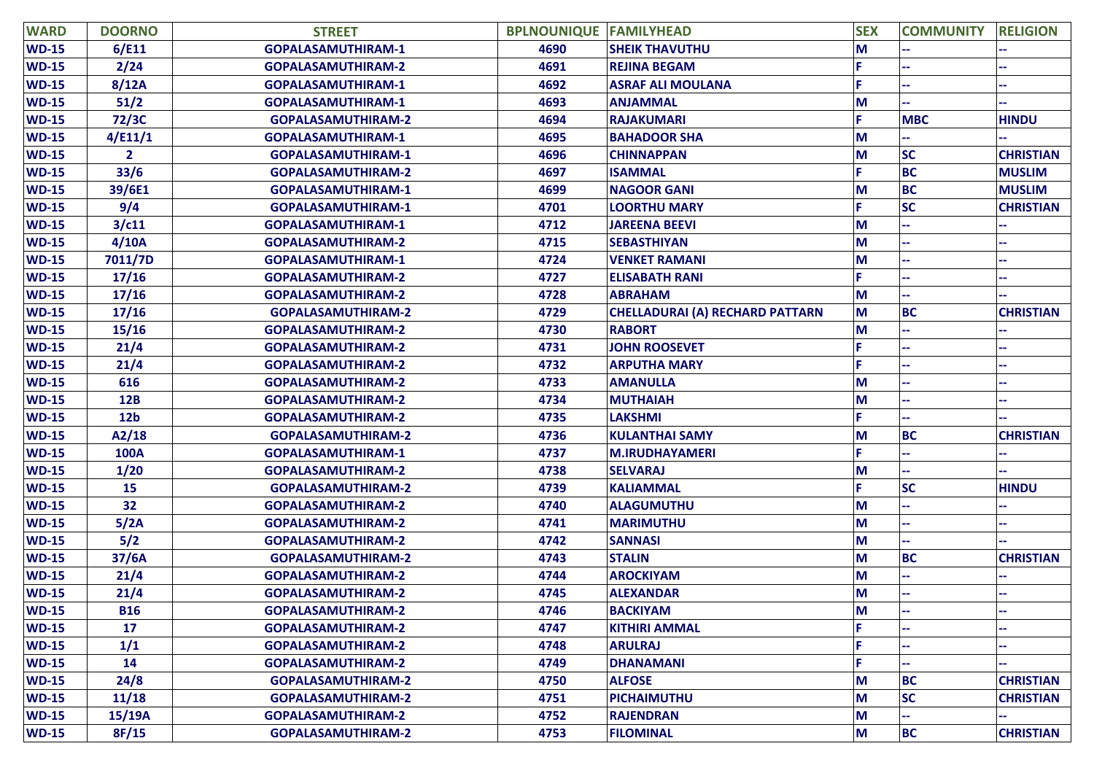| <b>WARD</b>  | <b>DOORNO</b>   | <b>STREET</b>             | <b>BPLNOUNIQUE FAMILYHEAD</b> |                                 | <b>SEX</b> | <b>COMMUNITY</b> | <b>RELIGION</b>  |
|--------------|-----------------|---------------------------|-------------------------------|---------------------------------|------------|------------------|------------------|
| <b>WD-15</b> | 6/E11           | <b>GOPALASAMUTHIRAM-1</b> | 4690                          | <b>SHEIK THAVUTHU</b>           | M          |                  |                  |
| $WD-15$      | 2/24            | <b>GOPALASAMUTHIRAM-2</b> | 4691                          | <b>REJINA BEGAM</b>             |            |                  |                  |
| $WD-15$      | 8/12A           | <b>GOPALASAMUTHIRAM-1</b> | 4692                          | <b>ASRAF ALI MOULANA</b>        |            |                  |                  |
| <b>WD-15</b> | 51/2            | GOPALASAMUTHIRAM-1        | 4693                          | <b>ANJAMMAL</b>                 | M          |                  | н.               |
| <b>WD-15</b> | 72/3C           | <b>GOPALASAMUTHIRAM-2</b> | 4694                          | <b>RAJAKUMARI</b>               | p          | <b>MBC</b>       | <b>HINDU</b>     |
| $WD-15$      | 4/E11/1         | <b>GOPALASAMUTHIRAM-1</b> | 4695                          | <b>BAHADOOR SHA</b>             | M          |                  |                  |
| <b>WD-15</b> | $\mathbf{2}$    | <b>GOPALASAMUTHIRAM-1</b> | 4696                          | <b>CHINNAPPAN</b>               | M          | <b>SC</b>        | <b>CHRISTIAN</b> |
| <b>WD-15</b> | 33/6            | <b>GOPALASAMUTHIRAM-2</b> | 4697                          | <b>ISAMMAL</b>                  | F          | <b>BC</b>        | <b>MUSLIM</b>    |
| <b>WD-15</b> | 39/6E1          | <b>GOPALASAMUTHIRAM-1</b> | 4699                          | <b>NAGOOR GANI</b>              | M          | <b>BC</b>        | <b>MUSLIM</b>    |
| $WD-15$      | 9/4             | <b>GOPALASAMUTHIRAM-1</b> | 4701                          | <b>LOORTHU MARY</b>             | F          | <b>SC</b>        | <b>CHRISTIAN</b> |
| <b>WD-15</b> | 3/c11           | <b>GOPALASAMUTHIRAM-1</b> | 4712                          | <b>JAREENA BEEVI</b>            | M          |                  |                  |
| <b>WD-15</b> | 4/10A           | <b>GOPALASAMUTHIRAM-2</b> | 4715                          | <b>SEBASTHIYAN</b>              | M          |                  |                  |
| <b>WD-15</b> | 7011/7D         | <b>GOPALASAMUTHIRAM-1</b> | 4724                          | <b>VENKET RAMANI</b>            | M          |                  |                  |
| $WD-15$      | 17/16           | <b>GOPALASAMUTHIRAM-2</b> | 4727                          | <b>ELISABATH RANI</b>           | F          |                  |                  |
| <b>WD-15</b> | 17/16           | <b>GOPALASAMUTHIRAM-2</b> | 4728                          | <b>ABRAHAM</b>                  | M          |                  |                  |
| $WD-15$      | 17/16           | <b>GOPALASAMUTHIRAM-2</b> | 4729                          | CHELLADURAI (A) RECHARD PATTARN | M          | <b>BC</b>        | <b>CHRISTIAN</b> |
| <b>WD-15</b> | 15/16           | <b>GOPALASAMUTHIRAM-2</b> | 4730                          | <b>RABORT</b>                   | M          |                  |                  |
| <b>WD-15</b> | 21/4            | <b>GOPALASAMUTHIRAM-2</b> | 4731                          | <b>JOHN ROOSEVET</b>            |            |                  |                  |
| $WD-15$      | 21/4            | <b>GOPALASAMUTHIRAM-2</b> | 4732                          | <b>ARPUTHA MARY</b>             |            |                  |                  |
| <b>WD-15</b> | 616             | <b>GOPALASAMUTHIRAM-2</b> | 4733                          | <b>AMANULLA</b>                 | M          |                  | ÷                |
| <b>WD-15</b> | <b>12B</b>      | <b>GOPALASAMUTHIRAM-2</b> | 4734                          | <b>MUTHAIAH</b>                 | M          |                  |                  |
| $WD-15$      | 12 <sub>b</sub> | <b>GOPALASAMUTHIRAM-2</b> | 4735                          | <b>LAKSHMI</b>                  | F          |                  |                  |
| <b>WD-15</b> | A2/18           | <b>GOPALASAMUTHIRAM-2</b> | 4736                          | <b>KULANTHAI SAMY</b>           | M          | <b>BC</b>        | <b>CHRISTIAN</b> |
| $WD-15$      | <b>100A</b>     | <b>GOPALASAMUTHIRAM-1</b> | 4737                          | <b>M.IRUDHAYAMERI</b>           | F          |                  |                  |
| <b>WD-15</b> | 1/20            | <b>GOPALASAMUTHIRAM-2</b> | 4738                          | <b>SELVARAJ</b>                 | M          |                  |                  |
| $WD-15$      | 15              | <b>GOPALASAMUTHIRAM-2</b> | 4739                          | <b>KALIAMMAL</b>                | F          | <b>SC</b>        | <b>HINDU</b>     |
| $WD-15$      | 32              | <b>GOPALASAMUTHIRAM-2</b> | 4740                          | <b>ALAGUMUTHU</b>               | M          |                  |                  |
| $WD-15$      | 5/2A            | <b>GOPALASAMUTHIRAM-2</b> | 4741                          | <b>MARIMUTHU</b>                | M          |                  |                  |
| <b>WD-15</b> | 5/2             | <b>GOPALASAMUTHIRAM-2</b> | 4742                          | <b>SANNASI</b>                  | M          |                  |                  |
| <b>WD-15</b> | 37/6A           | <b>GOPALASAMUTHIRAM-2</b> | 4743                          | <b>STALIN</b>                   | M          | <b>BC</b>        | <b>CHRISTIAN</b> |
| <b>WD-15</b> | 21/4            | <b>GOPALASAMUTHIRAM-2</b> | 4744                          | <b>AROCKIYAM</b>                | M          |                  |                  |
| $WD-15$      | 21/4            | <b>GOPALASAMUTHIRAM-2</b> | 4745                          | <b>ALEXANDAR</b>                | M          |                  | --               |
| <b>WD-15</b> | <b>B16</b>      | <b>GOPALASAMUTHIRAM-2</b> | 4746                          | <b>BACKIYAM</b>                 | M          |                  | ۰.               |
| <b>WD-15</b> | 17              | <b>GOPALASAMUTHIRAM-2</b> | 4747                          | <b>KITHIRI AMMAL</b>            | p          |                  |                  |
| $WD-15$      | 1/1             | <b>GOPALASAMUTHIRAM-2</b> | 4748                          | <b>ARULRAJ</b>                  |            |                  | --               |
| $WD-15$      | 14              | <b>GOPALASAMUTHIRAM-2</b> | 4749                          | <b>DHANAMANI</b>                | F          |                  |                  |
| $WD-15$      | 24/8            | <b>GOPALASAMUTHIRAM-2</b> | 4750                          | <b>ALFOSE</b>                   | M          | <b>BC</b>        | <b>CHRISTIAN</b> |
| $WD-15$      | 11/18           | <b>GOPALASAMUTHIRAM-2</b> | 4751                          | <b>PICHAIMUTHU</b>              | M          | <b>SC</b>        | <b>CHRISTIAN</b> |
| $WD-15$      | 15/19A          | GOPALASAMUTHIRAM-2        | 4752                          | <b>RAJENDRAN</b>                | M          |                  |                  |
| $WD-15$      | 8F/15           | <b>GOPALASAMUTHIRAM-2</b> | 4753                          | <b>FILOMINAL</b>                | M          | <b>BC</b>        | <b>CHRISTIAN</b> |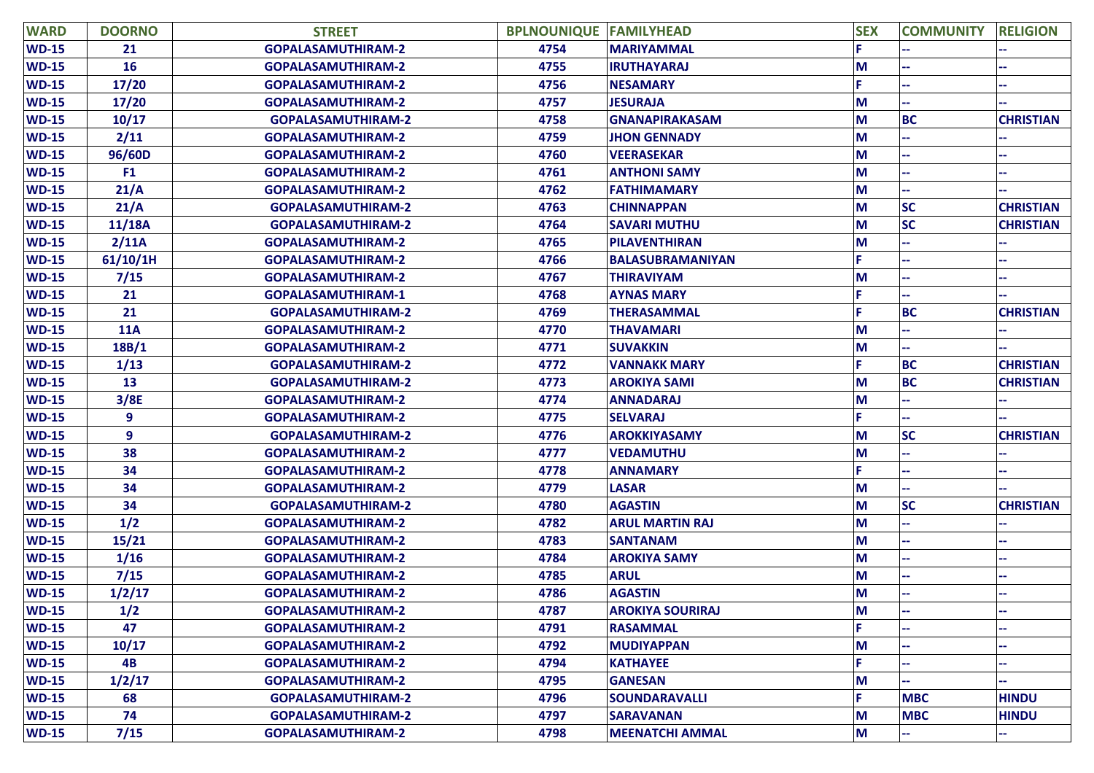| <b>WARD</b>  | <b>DOORNO</b>  | <b>STREET</b>             | <b>BPLNOUNIQUE FAMILYHEAD</b> |                         | <b>SEX</b> | <b>COMMUNITY</b> | <b>RELIGION</b>  |
|--------------|----------------|---------------------------|-------------------------------|-------------------------|------------|------------------|------------------|
| <b>WD-15</b> | 21             | <b>GOPALASAMUTHIRAM-2</b> | 4754                          | <b>MARIYAMMAL</b>       |            |                  |                  |
| <b>WD-15</b> | 16             | <b>GOPALASAMUTHIRAM-2</b> | 4755                          | <b>IRUTHAYARAJ</b>      | M          |                  |                  |
| <b>WD-15</b> | 17/20          | <b>GOPALASAMUTHIRAM-2</b> | 4756                          | <b>NESAMARY</b>         |            |                  |                  |
| <b>WD-15</b> | 17/20          | <b>GOPALASAMUTHIRAM-2</b> | 4757                          | <b>JESURAJA</b>         | M          |                  |                  |
| <b>WD-15</b> | 10/17          | <b>GOPALASAMUTHIRAM-2</b> | 4758                          | <b>GNANAPIRAKASAM</b>   | M          | <b>BC</b>        | <b>CHRISTIAN</b> |
| <b>WD-15</b> | 2/11           | <b>GOPALASAMUTHIRAM-2</b> | 4759                          | <b>JHON GENNADY</b>     | M          |                  |                  |
| <b>WD-15</b> | 96/60D         | <b>GOPALASAMUTHIRAM-2</b> | 4760                          | <b>VEERASEKAR</b>       | M          |                  |                  |
| <b>WD-15</b> | F <sub>1</sub> | <b>GOPALASAMUTHIRAM-2</b> | 4761                          | <b>ANTHONI SAMY</b>     | M          |                  | ۰.               |
| <b>WD-15</b> | 21/A           | <b>GOPALASAMUTHIRAM-2</b> | 4762                          | <b>FATHIMAMARY</b>      | M          |                  |                  |
| <b>WD-15</b> | 21/A           | <b>GOPALASAMUTHIRAM-2</b> | 4763                          | <b>CHINNAPPAN</b>       | M          | <b>SC</b>        | <b>CHRISTIAN</b> |
| <b>WD-15</b> | 11/18A         | <b>GOPALASAMUTHIRAM-2</b> | 4764                          | <b>SAVARI MUTHU</b>     | M          | <b>SC</b>        | <b>CHRISTIAN</b> |
| <b>WD-15</b> | 2/11A          | <b>GOPALASAMUTHIRAM-2</b> | 4765                          | <b>PILAVENTHIRAN</b>    | M          |                  |                  |
| <b>WD-15</b> | 61/10/1H       | <b>GOPALASAMUTHIRAM-2</b> | 4766                          | BALASUBRAMANIYAN        | p          |                  |                  |
| <b>WD-15</b> | 7/15           | <b>GOPALASAMUTHIRAM-2</b> | 4767                          | <b>THIRAVIYAM</b>       | M          |                  |                  |
| <b>WD-15</b> | 21             | <b>GOPALASAMUTHIRAM-1</b> | 4768                          | <b>AYNAS MARY</b>       |            |                  |                  |
| <b>WD-15</b> | 21             | <b>GOPALASAMUTHIRAM-2</b> | 4769                          | <b>THERASAMMAL</b>      | F          | <b>BC</b>        | <b>CHRISTIAN</b> |
| $WD-15$      | <b>11A</b>     | <b>GOPALASAMUTHIRAM-2</b> | 4770                          | <b>THAVAMARI</b>        | M          |                  |                  |
| <b>WD-15</b> | 18B/1          | <b>GOPALASAMUTHIRAM-2</b> | 4771                          | <b>SUVAKKIN</b>         | M          |                  |                  |
| <b>WD-15</b> | 1/13           | <b>GOPALASAMUTHIRAM-2</b> | 4772                          | <b>VANNAKK MARY</b>     | F          | <b>BC</b>        | <b>CHRISTIAN</b> |
| <b>WD-15</b> | 13             | <b>GOPALASAMUTHIRAM-2</b> | 4773                          | <b>AROKIYA SAMI</b>     | M          | <b>BC</b>        | <b>CHRISTIAN</b> |
| <b>WD-15</b> | 3/8E           | <b>GOPALASAMUTHIRAM-2</b> | 4774                          | <b>ANNADARAJ</b>        | M          |                  |                  |
| <b>WD-15</b> | 9              | <b>GOPALASAMUTHIRAM-2</b> | 4775                          | <b>SELVARAJ</b>         | F          |                  |                  |
| <b>WD-15</b> | 9              | <b>GOPALASAMUTHIRAM-2</b> | 4776                          | <b>AROKKIYASAMY</b>     | M          | <b>SC</b>        | <b>CHRISTIAN</b> |
| <b>WD-15</b> | 38             | <b>GOPALASAMUTHIRAM-2</b> | 4777                          | <b>VEDAMUTHU</b>        | M          |                  |                  |
| <b>WD-15</b> | 34             | <b>GOPALASAMUTHIRAM-2</b> | 4778                          | <b>ANNAMARY</b>         | F          |                  |                  |
| <b>WD-15</b> | 34             | <b>GOPALASAMUTHIRAM-2</b> | 4779                          | <b>LASAR</b>            | M          |                  |                  |
| <b>WD-15</b> | 34             | <b>GOPALASAMUTHIRAM-2</b> | 4780                          | <b>AGASTIN</b>          | M          | <b>SC</b>        | <b>CHRISTIAN</b> |
| <b>WD-15</b> | 1/2            | <b>GOPALASAMUTHIRAM-2</b> | 4782                          | <b>ARUL MARTIN RAJ</b>  | M          |                  |                  |
| <b>WD-15</b> | 15/21          | <b>GOPALASAMUTHIRAM-2</b> | 4783                          | <b>SANTANAM</b>         | M          |                  |                  |
| <b>WD-15</b> | 1/16           | <b>GOPALASAMUTHIRAM-2</b> | 4784                          | <b>AROKIYA SAMY</b>     | M          |                  |                  |
| <b>WD-15</b> | 7/15           | <b>GOPALASAMUTHIRAM-2</b> | 4785                          | <b>ARUL</b>             | M          |                  |                  |
| <b>WD-15</b> | 1/2/17         | <b>GOPALASAMUTHIRAM-2</b> | 4786                          | <b>AGASTIN</b>          | M          |                  |                  |
| <b>WD-15</b> | 1/2            | <b>GOPALASAMUTHIRAM-2</b> | 4787                          | <b>AROKIYA SOURIRAJ</b> | M          |                  |                  |
| <b>WD-15</b> | 47             | <b>GOPALASAMUTHIRAM-2</b> | 4791                          | <b>RASAMMAL</b>         |            |                  |                  |
| $WD-15$      | 10/17          | <b>GOPALASAMUTHIRAM-2</b> | 4792                          | <b>MUDIYAPPAN</b>       | M          |                  |                  |
| $WD-15$      | 4B             | <b>GOPALASAMUTHIRAM-2</b> | 4794                          | <b>KATHAYEE</b>         | Е          |                  | н.               |
| <b>WD-15</b> | 1/2/17         | GOPALASAMUTHIRAM-2        | 4795                          | <b>GANESAN</b>          | M          |                  |                  |
| $WD-15$      | 68             | <b>GOPALASAMUTHIRAM-2</b> | 4796                          | <b>SOUNDARAVALLI</b>    | F          | <b>MBC</b>       | <b>HINDU</b>     |
| $WD-15$      | 74             | <b>GOPALASAMUTHIRAM-2</b> | 4797                          | <b>SARAVANAN</b>        | M          | <b>MBC</b>       | <b>HINDU</b>     |
| $WD-15$      | 7/15           | <b>GOPALASAMUTHIRAM-2</b> | 4798                          | <b>MEENATCHI AMMAL</b>  | M          |                  |                  |